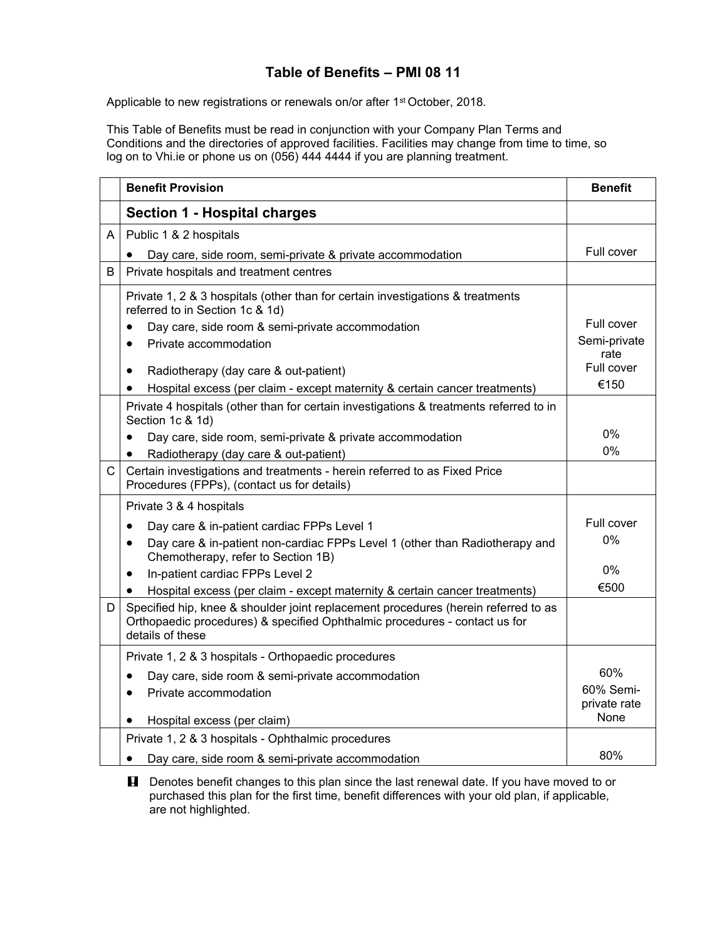## **Table of Benefits – PMI 08 11**

Applicable to new registrations or renewals on/or after 1<sup>st</sup> October, 2018.

This Table of Benefits must be read in conjunction with your Company Plan Terms and Conditions and the directories of approved facilities. Facilities may change from time to time, so log on to Vhi.ie or phone us on (056) 444 4444 if you are planning treatment.

|   | <b>Benefit Provision</b>                                                                                                                                                             | <b>Benefit</b>                           |
|---|--------------------------------------------------------------------------------------------------------------------------------------------------------------------------------------|------------------------------------------|
|   | <b>Section 1 - Hospital charges</b>                                                                                                                                                  |                                          |
| A | Public 1 & 2 hospitals                                                                                                                                                               |                                          |
|   | Day care, side room, semi-private & private accommodation                                                                                                                            | Full cover                               |
| B | Private hospitals and treatment centres                                                                                                                                              |                                          |
|   | Private 1, 2 & 3 hospitals (other than for certain investigations & treatments<br>referred to in Section 1c & 1d)                                                                    |                                          |
|   | Day care, side room & semi-private accommodation                                                                                                                                     | Full cover                               |
|   | Private accommodation<br>$\bullet$                                                                                                                                                   | Semi-private<br>rate                     |
|   | Radiotherapy (day care & out-patient)<br>$\bullet$                                                                                                                                   | Full cover                               |
|   | Hospital excess (per claim - except maternity & certain cancer treatments)<br>$\bullet$                                                                                              | €150                                     |
|   | Private 4 hospitals (other than for certain investigations & treatments referred to in<br>Section 1c & 1d)                                                                           |                                          |
|   | Day care, side room, semi-private & private accommodation                                                                                                                            | $0\%$                                    |
|   | Radiotherapy (day care & out-patient)<br>$\bullet$                                                                                                                                   | $0\%$                                    |
| C | Certain investigations and treatments - herein referred to as Fixed Price<br>Procedures (FPPs), (contact us for details)                                                             |                                          |
|   | Private 3 & 4 hospitals                                                                                                                                                              |                                          |
|   | Day care & in-patient cardiac FPPs Level 1                                                                                                                                           | Full cover                               |
|   | Day care & in-patient non-cardiac FPPs Level 1 (other than Radiotherapy and<br>٠<br>Chemotherapy, refer to Section 1B)                                                               | 0%                                       |
|   | In-patient cardiac FPPs Level 2<br>$\bullet$                                                                                                                                         | $0\%$                                    |
|   | Hospital excess (per claim - except maternity & certain cancer treatments)<br>$\bullet$                                                                                              | €500                                     |
| D | Specified hip, knee & shoulder joint replacement procedures (herein referred to as<br>Orthopaedic procedures) & specified Ophthalmic procedures - contact us for<br>details of these |                                          |
|   | Private 1, 2 & 3 hospitals - Orthopaedic procedures                                                                                                                                  |                                          |
|   | Day care, side room & semi-private accommodation<br>Private accommodation<br>$\bullet$<br>Hospital excess (per claim)<br>٠                                                           | 60%<br>60% Semi-<br>private rate<br>None |
|   | Private 1, 2 & 3 hospitals - Ophthalmic procedures                                                                                                                                   |                                          |
|   | Day care, side room & semi-private accommodation                                                                                                                                     | 80%                                      |

**H** Denotes benefit changes to this plan since the last renewal date. If you have moved to or purchased this plan for the first time, benefit differences with your old plan, if applicable, are not highlighted.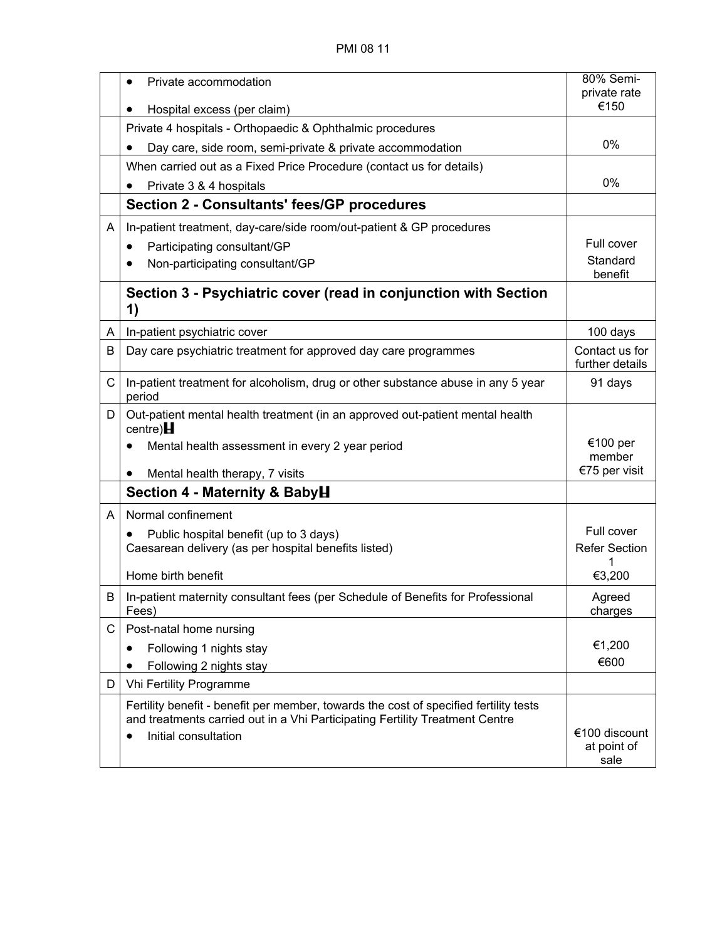|   | Private accommodation                                                                                                                                                                         | 80% Semi-<br>private rate            |
|---|-----------------------------------------------------------------------------------------------------------------------------------------------------------------------------------------------|--------------------------------------|
|   | Hospital excess (per claim)                                                                                                                                                                   | €150                                 |
|   | Private 4 hospitals - Orthopaedic & Ophthalmic procedures                                                                                                                                     |                                      |
|   | Day care, side room, semi-private & private accommodation                                                                                                                                     | 0%                                   |
|   | When carried out as a Fixed Price Procedure (contact us for details)                                                                                                                          |                                      |
|   | Private 3 & 4 hospitals                                                                                                                                                                       | $0\%$                                |
|   | <b>Section 2 - Consultants' fees/GP procedures</b>                                                                                                                                            |                                      |
| A | In-patient treatment, day-care/side room/out-patient & GP procedures                                                                                                                          |                                      |
|   | Participating consultant/GP                                                                                                                                                                   | Full cover                           |
|   | Non-participating consultant/GP                                                                                                                                                               | Standard<br>benefit                  |
|   | Section 3 - Psychiatric cover (read in conjunction with Section<br>1)                                                                                                                         |                                      |
| A | In-patient psychiatric cover                                                                                                                                                                  | 100 days                             |
| B | Day care psychiatric treatment for approved day care programmes                                                                                                                               | Contact us for<br>further details    |
| C | In-patient treatment for alcoholism, drug or other substance abuse in any 5 year<br>period                                                                                                    | 91 days                              |
| D | Out-patient mental health treatment (in an approved out-patient mental health<br>centre) $H$                                                                                                  |                                      |
|   | Mental health assessment in every 2 year period                                                                                                                                               | €100 per<br>member                   |
|   | Mental health therapy, 7 visits<br>$\bullet$                                                                                                                                                  | €75 per visit                        |
|   | Section 4 - Maternity & BabyH                                                                                                                                                                 |                                      |
| A | Normal confinement                                                                                                                                                                            |                                      |
|   | Public hospital benefit (up to 3 days)<br>$\bullet$                                                                                                                                           | Full cover                           |
|   | Caesarean delivery (as per hospital benefits listed)                                                                                                                                          | <b>Refer Section</b>                 |
|   | Home birth benefit                                                                                                                                                                            | €3,200                               |
| B | In-patient maternity consultant fees (per Schedule of Benefits for Professional<br>Fees)                                                                                                      | Agreed<br>charges                    |
| С | Post-natal home nursing                                                                                                                                                                       |                                      |
|   | Following 1 nights stay                                                                                                                                                                       | €1,200                               |
|   | Following 2 nights stay<br>$\bullet$                                                                                                                                                          | €600                                 |
| D | Vhi Fertility Programme                                                                                                                                                                       |                                      |
|   | Fertility benefit - benefit per member, towards the cost of specified fertility tests<br>and treatments carried out in a Vhi Participating Fertility Treatment Centre<br>Initial consultation | €100 discount<br>at point of<br>sale |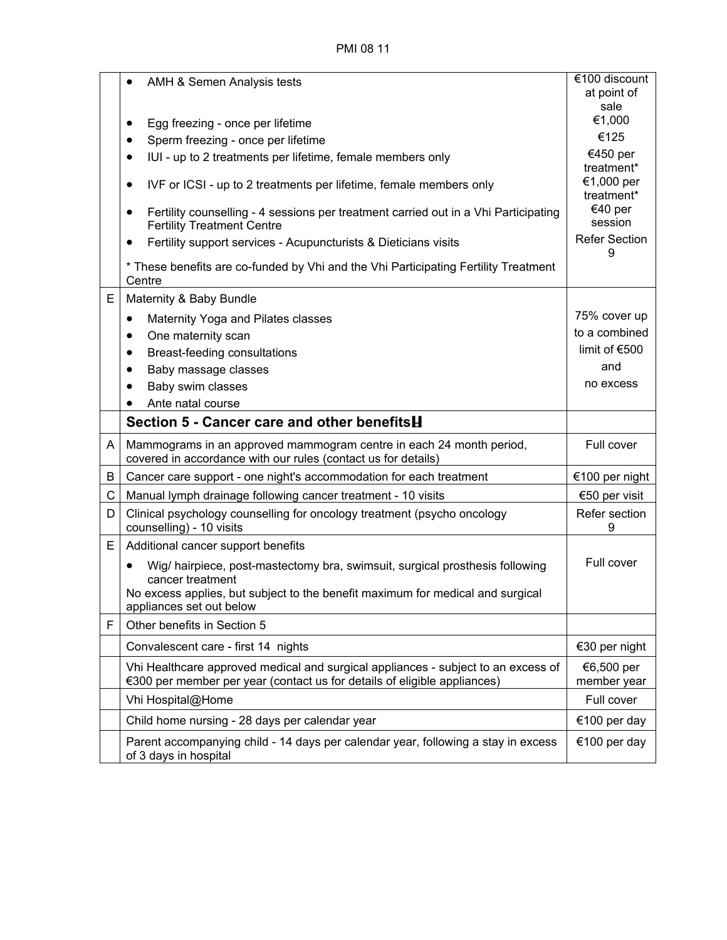|   | AMH & Semen Analysis tests<br>$\bullet$                                                                                                                                                                             | €100 discount<br>at point of           |
|---|---------------------------------------------------------------------------------------------------------------------------------------------------------------------------------------------------------------------|----------------------------------------|
|   |                                                                                                                                                                                                                     | sale                                   |
|   | Egg freezing - once per lifetime<br>٠                                                                                                                                                                               | €1,000                                 |
|   | Sperm freezing - once per lifetime<br>$\bullet$                                                                                                                                                                     | €125                                   |
|   | IUI - up to 2 treatments per lifetime, female members only<br>$\bullet$                                                                                                                                             | €450 per                               |
|   | IVF or ICSI - up to 2 treatments per lifetime, female members only<br>$\bullet$                                                                                                                                     | treatment*<br>€1,000 per<br>treatment* |
|   | Fertility counselling - 4 sessions per treatment carried out in a Vhi Participating<br><b>Fertility Treatment Centre</b>                                                                                            | €40 per<br>session                     |
|   | Fertility support services - Acupuncturists & Dieticians visits<br>$\bullet$                                                                                                                                        | <b>Refer Section</b><br>9              |
|   | * These benefits are co-funded by Vhi and the Vhi Participating Fertility Treatment<br>Centre                                                                                                                       |                                        |
| E | Maternity & Baby Bundle                                                                                                                                                                                             |                                        |
|   | Maternity Yoga and Pilates classes<br>٠                                                                                                                                                                             | 75% cover up                           |
|   | One maternity scan<br>$\bullet$                                                                                                                                                                                     | to a combined                          |
|   | Breast-feeding consultations<br>$\bullet$                                                                                                                                                                           | limit of €500                          |
|   | Baby massage classes<br>$\bullet$                                                                                                                                                                                   | and                                    |
|   | Baby swim classes                                                                                                                                                                                                   | no excess                              |
|   | Ante natal course                                                                                                                                                                                                   |                                        |
|   | Section 5 - Cancer care and other benefits H                                                                                                                                                                        |                                        |
| A | Mammograms in an approved mammogram centre in each 24 month period,<br>covered in accordance with our rules (contact us for details)                                                                                | Full cover                             |
| B | Cancer care support - one night's accommodation for each treatment                                                                                                                                                  | €100 per night                         |
| C | Manual lymph drainage following cancer treatment - 10 visits                                                                                                                                                        | €50 per visit                          |
| D | Clinical psychology counselling for oncology treatment (psycho oncology<br>counselling) - 10 visits                                                                                                                 | Refer section<br>9                     |
| Ε | Additional cancer support benefits                                                                                                                                                                                  |                                        |
|   | Wig/ hairpiece, post-mastectomy bra, swimsuit, surgical prosthesis following<br>٠<br>cancer treatment<br>No excess applies, but subject to the benefit maximum for medical and surgical<br>appliances set out below | Full cover                             |
| F | Other benefits in Section 5                                                                                                                                                                                         |                                        |
|   | Convalescent care - first 14 nights                                                                                                                                                                                 | €30 per night                          |
|   | Vhi Healthcare approved medical and surgical appliances - subject to an excess of<br>€300 per member per year (contact us for details of eligible appliances)                                                       | €6,500 per<br>member year              |
|   | Vhi Hospital@Home                                                                                                                                                                                                   | Full cover                             |
|   | Child home nursing - 28 days per calendar year                                                                                                                                                                      | €100 per day                           |
|   | Parent accompanying child - 14 days per calendar year, following a stay in excess<br>of 3 days in hospital                                                                                                          | €100 per day                           |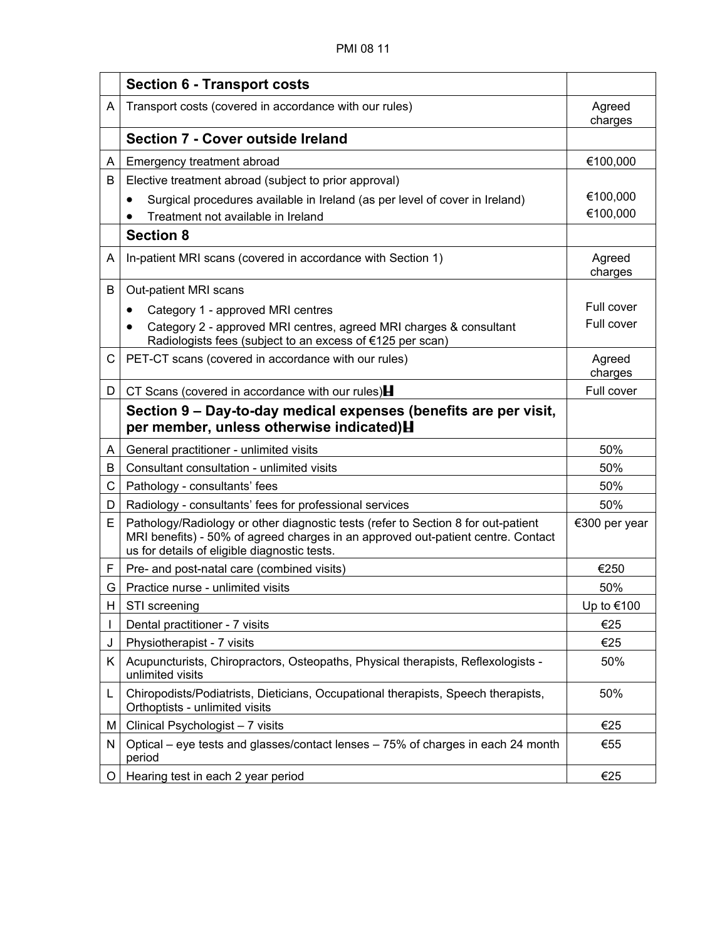|   | <b>Section 6 - Transport costs</b>                                                                                                                                                                                    |                   |
|---|-----------------------------------------------------------------------------------------------------------------------------------------------------------------------------------------------------------------------|-------------------|
| A | Transport costs (covered in accordance with our rules)                                                                                                                                                                | Agreed<br>charges |
|   | Section 7 - Cover outside Ireland                                                                                                                                                                                     |                   |
| A | Emergency treatment abroad                                                                                                                                                                                            | €100,000          |
| B | Elective treatment abroad (subject to prior approval)                                                                                                                                                                 |                   |
|   | Surgical procedures available in Ireland (as per level of cover in Ireland)                                                                                                                                           | €100,000          |
|   | Treatment not available in Ireland                                                                                                                                                                                    | €100,000          |
|   | <b>Section 8</b>                                                                                                                                                                                                      |                   |
| A | In-patient MRI scans (covered in accordance with Section 1)                                                                                                                                                           | Agreed<br>charges |
| B | Out-patient MRI scans                                                                                                                                                                                                 |                   |
|   | Category 1 - approved MRI centres<br>$\bullet$                                                                                                                                                                        | Full cover        |
|   | Category 2 - approved MRI centres, agreed MRI charges & consultant<br>Radiologists fees (subject to an excess of €125 per scan)                                                                                       | Full cover        |
| C | PET-CT scans (covered in accordance with our rules)                                                                                                                                                                   | Agreed<br>charges |
| D | CT Scans (covered in accordance with our rules) $\blacksquare$                                                                                                                                                        | Full cover        |
|   | Section 9 – Day-to-day medical expenses (benefits are per visit,<br>per member, unless otherwise indicated) H                                                                                                         |                   |
| A | General practitioner - unlimited visits                                                                                                                                                                               | 50%               |
| B | Consultant consultation - unlimited visits                                                                                                                                                                            | 50%               |
| С | Pathology - consultants' fees                                                                                                                                                                                         | 50%               |
| D | Radiology - consultants' fees for professional services                                                                                                                                                               | 50%               |
| E | Pathology/Radiology or other diagnostic tests (refer to Section 8 for out-patient<br>MRI benefits) - 50% of agreed charges in an approved out-patient centre. Contact<br>us for details of eligible diagnostic tests. | €300 per year     |
| F | Pre- and post-natal care (combined visits)                                                                                                                                                                            | €250              |
| G | Practice nurse - unlimited visits                                                                                                                                                                                     | 50%               |
| H | STI screening                                                                                                                                                                                                         | Up to €100        |
|   | Dental practitioner - 7 visits                                                                                                                                                                                        | €25               |
| J | Physiotherapist - 7 visits                                                                                                                                                                                            | €25               |
| Κ | Acupuncturists, Chiropractors, Osteopaths, Physical therapists, Reflexologists -<br>unlimited visits                                                                                                                  | 50%               |
| L | Chiropodists/Podiatrists, Dieticians, Occupational therapists, Speech therapists,<br>Orthoptists - unlimited visits                                                                                                   | 50%               |
| M | Clinical Psychologist - 7 visits                                                                                                                                                                                      | €25               |
| N | Optical – eye tests and glasses/contact lenses – 75% of charges in each 24 month<br>period                                                                                                                            | €55               |
| O | Hearing test in each 2 year period                                                                                                                                                                                    | €25               |